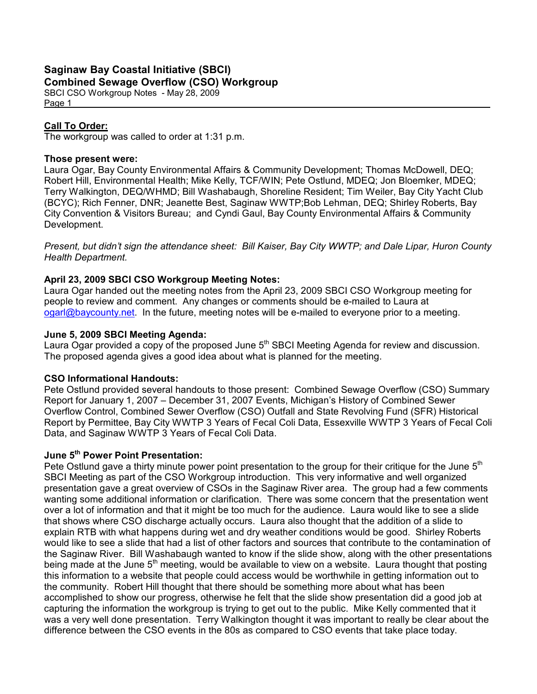# Saginaw Bay Coastal Initiative (SBCI)

## Combined Sewage Overflow (CSO) Workgroup

SBCI CSO Workgroup Notes - May 28, 2009 Page 1

## Call To Order:

The workgroup was called to order at 1:31 p.m.

#### Those present were:

Laura Ogar, Bay County Environmental Affairs & Community Development; Thomas McDowell, DEQ; Robert Hill, Environmental Health; Mike Kelly, TCF/WIN; Pete Ostlund, MDEQ; Jon Bloemker, MDEQ; Terry Walkington, DEQ/WHMD; Bill Washabaugh, Shoreline Resident; Tim Weiler, Bay City Yacht Club (BCYC); Rich Fenner, DNR; Jeanette Best, Saginaw WWTP;Bob Lehman, DEQ; Shirley Roberts, Bay City Convention & Visitors Bureau; and Cyndi Gaul, Bay County Environmental Affairs & Community Development.

Present, but didn't sign the attendance sheet: Bill Kaiser, Bay City WWTP; and Dale Lipar, Huron County Health Department.

### April 23, 2009 SBCI CSO Workgroup Meeting Notes:

Laura Ogar handed out the meeting notes from the April 23, 2009 SBCI CSO Workgroup meeting for people to review and comment. Any changes or comments should be e-mailed to Laura at ogarl@baycounty.net. In the future, meeting notes will be e-mailed to everyone prior to a meeting.

### June 5, 2009 SBCI Meeting Agenda:

Laura Ogar provided a copy of the proposed June 5<sup>th</sup> SBCI Meeting Agenda for review and discussion. The proposed agenda gives a good idea about what is planned for the meeting.

### CSO Informational Handouts:

Pete Ostlund provided several handouts to those present: Combined Sewage Overflow (CSO) Summary Report for January 1, 2007 – December 31, 2007 Events, Michigan's History of Combined Sewer Overflow Control, Combined Sewer Overflow (CSO) Outfall and State Revolving Fund (SFR) Historical Report by Permittee, Bay City WWTP 3 Years of Fecal Coli Data, Essexville WWTP 3 Years of Fecal Coli Data, and Saginaw WWTP 3 Years of Fecal Coli Data.

## June 5<sup>th</sup> Power Point Presentation:

Pete Ostlund gave a thirty minute power point presentation to the group for their critique for the June  $5<sup>th</sup>$ SBCI Meeting as part of the CSO Workgroup introduction. This very informative and well organized presentation gave a great overview of CSOs in the Saginaw River area. The group had a few comments wanting some additional information or clarification. There was some concern that the presentation went over a lot of information and that it might be too much for the audience. Laura would like to see a slide that shows where CSO discharge actually occurs. Laura also thought that the addition of a slide to explain RTB with what happens during wet and dry weather conditions would be good. Shirley Roberts would like to see a slide that had a list of other factors and sources that contribute to the contamination of the Saginaw River. Bill Washabaugh wanted to know if the slide show, along with the other presentations being made at the June 5<sup>th</sup> meeting, would be available to view on a website. Laura thought that posting this information to a website that people could access would be worthwhile in getting information out to the community. Robert Hill thought that there should be something more about what has been accomplished to show our progress, otherwise he felt that the slide show presentation did a good job at capturing the information the workgroup is trying to get out to the public. Mike Kelly commented that it was a very well done presentation. Terry Walkington thought it was important to really be clear about the difference between the CSO events in the 80s as compared to CSO events that take place today.